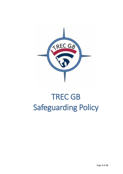

# TREC GB Safeguarding Policy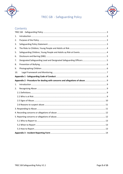

## TREC GB - Safeguarding Policy



### Contents

| 1.  |  |  |  |  |  |
|-----|--|--|--|--|--|
| 2.  |  |  |  |  |  |
| 3.  |  |  |  |  |  |
| 4.  |  |  |  |  |  |
| 5.  |  |  |  |  |  |
| 6.  |  |  |  |  |  |
| 7.  |  |  |  |  |  |
| 8.  |  |  |  |  |  |
| 9.  |  |  |  |  |  |
| 10. |  |  |  |  |  |
|     |  |  |  |  |  |
|     |  |  |  |  |  |
| 1.  |  |  |  |  |  |
| 2.  |  |  |  |  |  |
|     |  |  |  |  |  |
|     |  |  |  |  |  |
|     |  |  |  |  |  |
|     |  |  |  |  |  |
|     |  |  |  |  |  |
|     |  |  |  |  |  |
|     |  |  |  |  |  |
|     |  |  |  |  |  |
|     |  |  |  |  |  |
|     |  |  |  |  |  |
|     |  |  |  |  |  |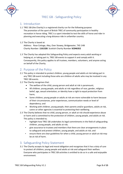



### TREC GB - Safeguarding Policy

### <span id="page-2-1"></span><span id="page-2-0"></span>1. Introduction

1.1 TREC GB (the Charity) is a registered charity run for the following purpose: The promotion of the sport of British TREC of community participation in healthy recreation in horse riding. TREC is a sport intended to test the skills of horse and rider in planning and executing a long-distance ride in unfamiliar country.

#### 1.2 The Charity is based at:

Address: Rose Cottage, Aley, Over Stowey, Bridgewater, TA5 1HB Charity Number: **1161328**. Scottish Charity Number **SC046352**

1.3 The Charity has adopted this Safeguarding Policy and expects every adult working or helping at, or taking part in, TREC GB events to support it and comply with it. Consequently, this policy applies to all trustees, members, volunteers, and anyone acting on behalf of the Charity.

### <span id="page-2-2"></span>2. Purpose of the Policy

- 2.1 This policy is intended to protect children, young people and adults at risk taking part in any TREC GB event including those who are children of adults who may be involved in any TREC GB events.
- 2.2 The Charity recognises that:
	- The welfare of the child, young person and adult at risk is paramount;
	- All children, young people, and adults at risk regardless of race, gender, religious belief, age, sexual orientation, or identity have a right to equal protection from harm;
	- Some children, young people or adults at risk are more vulnerable to harm because of their circumstances, prior experiences, communication needs or level of dependency; and
	- Working with children, young people, their parents and/or guardians, adults at risk, carers or other agencies is essential to protecting their wellbeing.
- 2.3 The Charity believes that no child, young person, or adult at risk should experience abuse or harm and is committed to the protection of children, young people, and adults at risk. This policy is intended to;
	- highlight how TREC GB undertakes its legal commitments in the field of safeguarding children, young people, and adults at risk;
	- give assurance to trustees and members that there are clear arrangements in place to safeguard and protect children, young people, and adults at risk; and
	- ensure there are clear guidelines for when a child, young person or adult at risk may be at risk of harm.

### <span id="page-2-3"></span>3. Safeguarding Policy Statement

3.1 The Charity accepts its legal and moral obligation and recognises that it has a duty of care to protect all children, young people and adults at risk and safeguard their welfare. Everyone who participates in TREC GB activities is entitled to do so in a safe and enjoyable environment.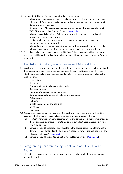- 3.2 In pursuit of this, the Charity is committed to ensuring that:
	- All reasonable and practical steps are taken to protect children, young people, and adults at risk from harm, discrimination, or degrading treatment, and respect their rights, wishes and feelings.
	- High standards of behaviour and practice are maintained through compliance with TREC GB's Safeguarding Code of Conduct. [\(Appendix 1\)](#page-7-0)
	- All concerns and allegations of abuse or poor practice are taken seriously and responded to swiftly and appropriately.
	- Confidential, detailed, and accurate records of all safeguarding concerns are maintained and securely stored.
	- All members and volunteers are informed about their responsibilities and provided with guidance and/or training in good practice and safeguarding procedures.
- 3.3 This policy applies to everyone involved in TREC GB. Failure to comply with the policy and procedures will be addressed without delay and may ultimately result in exclusion from the organisation.

### <span id="page-3-0"></span>4. The Risks to Children, Young People and Adults at Risk

- 4.1 Nearly every child, young person, or adult at risk lives in a safe and happy environment and it is important not to exaggerate or overestimate the dangers. Nevertheless, there are situations where children, young people and adults at risk need protection, including but not limited to:
	- Sexual abuse;
	- Grooming;
	- Physical and emotional abuse and neglect;
	- Domestic violence
	- Inappropriate supervision by volunteers;
	- Bullying, cyber bullying, acts of violence and aggression;
	- Victimisation;
	- Self-harm;
	- Unsafe environments and activities;
	- Crime and
	- **Exploitation**
- 4.2 Recognising Abuse is essential; however, it is not the place of anyone within TREC GB to ascertain whether abuse is taking place or to find evidence to support this, but
	- a) In situations where someone becomes aware of a concern, or a disclosure is made to them, it is essential that appropriate action is taken whilst not prejudicing any future investigation, and
	- b) Concerns should be recorded and reported to the appropriate person following the Referral Process outlined in the document "Procedure for dealing with concerns and allegations of abuse" [\(Appendix 2\)](#page-8-0)
	- c) Concerns should be reported using the referral form provided [\(Appendix 3\)](#page-12-3).

### <span id="page-3-1"></span>5. Safeguarding Children, Young People and Adults ay Risk at Events

5.1 TREC GB events are open to all members of the public including children, young people, and adults at risk.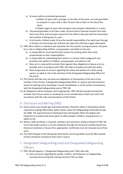a) At events with an orienteering element,

I.children 13 years old or younger on the date of the event, are only permitted to compete in a pair, with a rider 18 years old or older on the day of the event.

II.Children aged 14 years old and above may compete individually or in pairs

- b) The parent/guardian of all riders under 18 must send a Parental Consent form with their entry form and must give consent for the child to take part with the nominated pairs partner if taking part as a pair.
- c) At all events, children under 18 are the overall responsibility of an adult over the age of 18 who not only brings the child but also takes the child home again afterwards.
- 5.2 TREC GB is reliant on members and volunteers for the smooth running of events. Everyone has a role in safeguarding children, young people, and adults at risk and;
	- a) Is responsible for ensuring that they receive the training which they need, proportionate to their responsibilities.
	- b) Is responsible for undertaking their duties in a manner which safeguards and promotes the welfare of children, young people, and adults at risk.
	- c) Must act in a way which protects them against false allegations of abuse as far as possible and in accordance with TREC GB codes of conduct and with this policy.
	- d) Must bring issues of concern regarding the safety and welfare of a child, young person, or adult at risk to the attention of the Designated Safeguarding Officer for the event.
- 5.3 The Charity will take very seriously any allegations of impropriety on the part of any member of the Charity. A Designated Safeguarding Officer or anyone else who becomes aware of anything amiss should get in touch immediately, or at the earliest convenience, with the Designated Safeguarding Lead at TREC GB.
- 5.4 All allegations will be reviewed, and if appropriate, TREC GB will consider banning the member from future events or revoking his or her membership or both, but only in full accordance with the rules and procedures of the Charity.

### <span id="page-4-0"></span>6. Disclosure and Barring (DBS)

- 6.1 Some events may include age restricted activities, therefore adults in attendance will be required to undergo DBS and/or police checks under the Safeguarding Vulnerable Groups Act 2006. The required level of checking (if any) will broadly reflect the degree and frequency of unsupervised access given to other people's children, young persons, or adults at risk.
- 6.2 Where a DBS certificate is required, members and volunteers acting on behalf of TREC GB must hold and/or present a current certificate through the Disclosure and Barring Service, Disclosure Scotland, or Access NI as appropriate. Certificates must be renewed every three years.
- 6.3 The Chef d'Equipe of the GB Squads (both Senior and Young Rider) must be DBS checked (checks should be renewed at least every 3 years).

### <span id="page-4-1"></span>7. Designated Safeguarding Lead and Designated Safeguarding **Officers**

- 7.1 TREC GB will appoint a "Designated Safeguarding Lead" (DSL) who will;
	- a) Gain assurance regarding the quality, content, and frequency of safeguarding training and ensuring that training records of this are kept.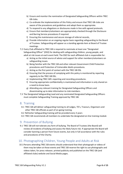- b) Ensure and monitor the nomination of Designated Safeguarding Officers within TREC GB clubs.
- c) Co-ordinate the implementation of this Policy and ensure that TREC GB clubs are aware of the procedures and guidelines and adopt them as appropriate.
- d) To respond to any allegations or disclosures made in line with agreed protocols.
- e) Ensure that members/volunteers are appropriately checked through the Disclosure and Barring Service procedures if required.
- f) Ensuring the maintenance and secure storage of referral records,
- g) Provide information on an ongoing regular basis regarding safeguarding to the Board of Trustees. Safeguarding will appear as a standing agenda item at Board of Trustee meetings.
- 7.2 Every Club affiliated to TREC GB is required to nominate at least one "Designated Safeguarding Officer" (DSO) for dealing with safeguarding children, young people, and adult at risk issues at each event held. The DSO for each affiliated club is responsible for:
	- a) Acting as the initial source of advice and support for other members/volunteers on safeguarding issues.
	- b) Being familiar with the TREC GB and other relevant Government Child Protection procedures and Protection of Vulnerable Adults procedures.
	- c) Acting as the first point of contact with the TREC GB DSL
	- d) Ensuring that the process of complying with this policy is monitored by reporting regularly to the TREC GB DSL.
	- e) Implementing TREC GB's reporting and recording procedures.
	- f) Ensuring appropriate confidentiality is maintained and information is only shared on a need-to-know basis.
	- g) Attending any relevant training for Designated Safeguarding Officers and disseminating up to date information to club members.
- 7.3 The Designated Safeguarding Lead and any nominated Designated Safeguarding Officers must complete Safeguarding Training approved by TREC GB.

### <span id="page-5-0"></span>8. Training

- 8.1 TREC GB will deliver safeguarding training to all Judges, TD's, Traceurs, Organisers and other TREC GB officials as part of on-going training.
- 8.2 Refresher Safeguarding training will be provided every 3 years
- 8.3 TREC GB recommends all members to undertake the designated on-line training module

### 9. Prevention of Bullying

9.1 TREC GB will not tolerate any form of bullying. The Board of Trustees (the Board) will review all incidents of bullying and assess the likely future risk. If appropriate the Board will consider banning a person from future events, but only in full accordance with the rules and procedures of the Charity.

### <span id="page-5-1"></span>10. Photographing Children, Young People and Adults at Risk

10.1 Persons attending TREC GB events should understand that their photograph or videos of them may be taken at those events and TREC GB reserve the right to use photographs and videos taken, for press releases. printed publicity and published on the TREC GB (and affiliated clubs) website and Social Media pages.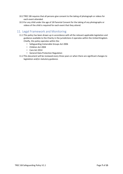- 10.2 TREC GB requires that all persons give consent to the taking of photograph or videos for each event attended.
- 10.3 For any child under the age of 18 Parental Consent for the taking of any photographs or videos of the child is required for each event that they attend.

### <span id="page-6-0"></span>11. Legal Framework and Monitoring

- 11.1 This policy has been drawn up in accordance with all the relevant applicable legislation and guidance available to the Charity in the jurisdictions it operates within the United Kingdom. Chiefly, this policy operates within the:
	- Safeguarding Vulnerable Groups Act 2006
	- Children Act 2004
	- Care Act 2014
	- General Data Protection Regulation
- 11.2 This document will be reviewed every three years or when there are significant changes to legislation and/or statutory guidance.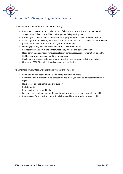



### <span id="page-7-0"></span>Appendix 1 - Safeguarding Code of Conduct

As a member or a volunteer for TREC GB you must;

- Report any concerns about or allegations of abuse or poor practice to the Designated Safeguarding Officer or the TREC GB Designated Safeguarding Lead
- Respect your position of trust and maintain appropriate boundaries and relationships
- As an organiser of an event, ensure that officials, volunteers, and trainers/coaches are never placed out on course alone if out of sight of other people
- Not engage in any behaviour that constitutes any form of abuse
- Respect everyone's trust and rights whilst being honest and open with them
- Not discriminate against anyone, regardless of gender, race, sexual orientation, or ability
- Call for help when necessary and if an injury occurs
- Challenge and address instances of poor, negative, aggressive, or bullying behaviour
- Help make TREC GB a friendly and welcoming organisation

As a member or volunteer, we understand you have the right to:

- Enjoy the time you spend with us and be supported in your role
- Be informed of our safeguarding procedures and what you need to do if something is not right
- Have access to ongoing training and support
- Be listened to
- Be respected and treated fairly
- Feel welcomed, valued, and not judged based on your race, gender, sexuality, or ability
- Be protected from physical or emotional abuse and be supported to resolve conflict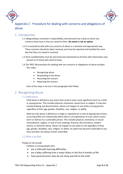



### <span id="page-8-0"></span>Appendix 2 - Procedure for dealing with concerns and allegations of abuse

### <span id="page-8-1"></span>1. Introduction

- 1.1 Safeguarding is everyone's responsibility, and everyone has a duty to action any concerns they have or that are raised to them. **No action is not an option**.
- 1.2 It is essential to deal with any concerns of abuse in a sensitive and appropriate way. These concerns should be taken seriously and must be reported and handled the same day that they are raised or received.
- 1.3 Strict confidentiality must be exercised and maintained at all times with information only passed on to those who need to know.
- 1.4 The TREC GB procedure for dealing with any concerns or allegations of abuse includes four steps.
	- Recognising abuse
	- Responding to the abuse
	- Recording the concern
	- Reporting the concern

Each of the steps is set out in the paragraphs that follow.

### <span id="page-8-3"></span><span id="page-8-2"></span>2. Recognising Abuse

#### 2.1 Definitions

Child abuse is defined as any action that could or does cause significant harm to a child or young person. This includes physical, emotional, sexual harm or neglect. It may also include bullying and discrimination. Abuse can happen to any child or young person regardless of their age, gender, disability, race, religion, or ability.

Adult [at risk] abuse is defined as a single or repeated act or lack of appropriate actions, occurring within any relationship where there is an expectation of trust, which causes harm or distress to a vulnerable person. This includes physical, emotional, or sexual mistreatment, neglect, or lack of care, bullying, financial, discriminatory, modern slavery, or domestic abuse. Abuse can happen to any adult at risk regardless of their age, gender, disability, race, religion, or ability. An adult may become vulnerable at any time and does not always remain vulnerable.

### <span id="page-8-4"></span>2.2 Who is at Risk

#### People at risk include

Children or young people who;

- are a child with learning difficulties
- are a baby suffering from a major illness in the first 6 months of life
- have parents/carers who do not show warmth to the child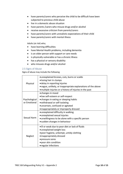- have parents/carers who perceive the child to be difficult have been subjected to previous child abuse
- live in a domestic abuse situation
- have parents /carers who misuse drugs and/or alcohol
- receive excessive criticism from parents/carers
- have parents/carers with unrealistic expectations of their child
- have parents/carers with mental illness

Adults (at risk) who;

- have learning difficulties
- have Mental Health problems, including dementia
- is an older person with support or care needs
- is physically vulnerable or has a chronic illness
- has a physical or sensory disability
- who misuses drugs and/or alcohol

### <span id="page-9-0"></span>2.5 Signs of Abuse

Signs of abuse may include the following

|               | • unexplained bruises, cuts, burns or scalds                  |  |  |  |  |  |
|---------------|---------------------------------------------------------------|--|--|--|--|--|
|               | · losing hair in clumps                                       |  |  |  |  |  |
| Physical      | · delay in reporting injuries                                 |  |  |  |  |  |
|               |                                                               |  |  |  |  |  |
|               | • vague, unlikely, or inappropriate explanations of the above |  |  |  |  |  |
|               | • multiple injuries or a history of injuries in the past      |  |  |  |  |  |
|               | • changes in mood                                             |  |  |  |  |  |
|               | · low self-esteem or self-respect                             |  |  |  |  |  |
| Psychological | • changes in eating or sleeping habits                        |  |  |  |  |  |
| or Emotional  | • withdrawal or self-isolating                                |  |  |  |  |  |
|               | · uncertain, confused or agitated                             |  |  |  |  |  |
|               | • inappropriately or improperly dressed                       |  |  |  |  |  |
|               | • unexplained difficulty in walking                           |  |  |  |  |  |
|               | · unexplained sexual injuries                                 |  |  |  |  |  |
| Sexual Harm   | • unwillingness to be alone with a specific person            |  |  |  |  |  |
|               | · sudden changes in behaviour                                 |  |  |  |  |  |
|               | • ill or weak due to poor diet or lack of fluids              |  |  |  |  |  |
|               | · unexplained weight loss                                     |  |  |  |  |  |
|               | · poor hygiene, unkempt, untidy clothing                      |  |  |  |  |  |
| Neglect       | • inappropriately dressed                                     |  |  |  |  |  |
|               | • pressure sores                                              |  |  |  |  |  |
|               | • poor skin condition                                         |  |  |  |  |  |
|               | • regular infections                                          |  |  |  |  |  |
|               |                                                               |  |  |  |  |  |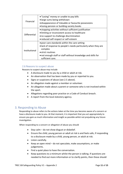|               | • "Losing" money or unable to pay bills                         |
|---------------|-----------------------------------------------------------------|
| Financial     | • large sums being withdrawn                                    |
|               | • disappearance of Valuable or favourite possessions            |
|               | · losing pension or building society books                      |
|               | • stopping activities without sufficient justification          |
| Differential  | • limiting or inconsistent access to healthcare                 |
|               | • no support to challenge discrimination                        |
|               | • reduced self-respect or self-esteem                           |
|               | . poor care standards within the care setting                   |
|               | • lack of response to people's needs particularly when they are |
| Institutional | complex                                                         |
|               | • strict routines                                               |
|               | • not enough staff or staff without knowledge and skills for    |
|               | sufficient care.                                                |

### <span id="page-10-0"></span>2.6 Reasons to suspect abuse

Reasons to suspect abuse may include

- A disclosure made to you by a child or adult at risk.
- An observation that has been made by you or reported to you.
- Signs or suspicions of abuse (see 2.5 above).
- An allegation made against a member or volunteer.
- An allegation made about a parent or someone who is not involved within the sport.
- Allegations regarding poor practice or a Code of Conduct breach.
- A report from the local statutory agency.

### <span id="page-10-1"></span>3. Responding to Abuse

Responding to abuse refers to the actions taken at the time you become aware of a concern or have a disclosure made to you. At that moment, it is important that you act appropriately to ensure you gain as much information and insight as possible whilst not prejudicing any future investigation.

When responding to a concern or allegation of abuse you should

- Stay calm do not show disgust or disbelief.
- Ensure the child, young person or adult at risk is and feels safe, if responding to a disclosure made by a child, young person, or adult at risk.
- Listen carefully.
- Keep an open mind do not speculate, make assumptions, or make judgements.
- Find a quiet place to have the conversation.
- Keep questions to a minimum whilst the person is talking. If questions are needed to find out more information or to clarify points, then these should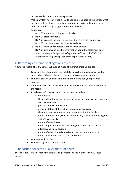be open-ended questions where possible.

- Make a written note of what is said to you and read back to the person what has been written down to ensure a clear and accurate understanding has been recorded. It may be appropriate to make notes
- **Remember**
	- o **Do NOT** show shock, disgust, or disbelief
	- o **Do NOT** press for details
	- o **Do NOT** promise to keep it a secret or that it will not happen again
	- o **Do NOT** contaminate or remove any evidence
	- o **Do NOT** make any contact with the alleged abuser
	- o **Do NOT** give anyone else the information about the statement apart from the event's Designated Safeguarding Officer or the TREC GB Designated Safeguarding Lead or the appropriate authority.

### <span id="page-11-0"></span>4. Recording concerns or allegations of abuse

A detailed record of every concern should be made at the time of it being raised.

- To ensure the information is as helpful as possible should an investigation need to be instigated, the record should be accurate and thorough.
- You must confine yourself to the facts and not include your personal opinion.
- Where concerns are raised from hearsay, this should be explicitly stated in the record.
- All relevant information should be recorded including
	- o your details
	- o the details of the person raising the concern, if you are not reporting your own concerns,
	- o personal details of the victim
	- o personal details of the victim's parent/guardian/carer
	- o the date, time, location and who was present at the incident
	- o details of the incident/concern including any conversations using the victim's own words
	- o details of any witness
	- o details of persons involved (including full name, contact details, address, and role / position),
	- o details of any action taken so far and any evidence you have
	- o details of who the concern has been reported to
- You must write legibly
- You must sign and date the record

### <span id="page-11-1"></span>5. Reporting concerns or allegations of abuse

There are four levels of reporting safeguarding concerns raised within TREC GB. These include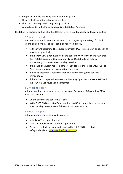- the person initially reporting the concern / allegation,
- the event's Designated Safeguarding Officer,
- the TREC GB Designated Safeguarding Lead and
- referrals made to the Police or Social Care (Statutory Agencies).

<span id="page-12-0"></span>The following sections outline who the different levels should report to and how to do this.

### 5.1 Who to Report to

Concerns that you have or are disclosed to you regarding the safety of a child, young person or adult at risk should be reported directly

- to the event Designated Safeguarding Officer (DSO) immediately or as soon as reasonably practical.
- If the event DSO is not available or the concern involves the event DSO, then the TREC GB Designated Safeguarding Lead (DSL) should be notified immediately or as soon as reasonably practical.
- If the child or adult at risk is in danger, then contact the Police and/or Social Care (Statutory Agencies) as a matter of urgency.
- If medical attention is required, then contact the emergency services immediately.
- If the matter is reported to any of the Statutory Agencies, the event DSO and the TREC GB DSL must also be informed.

### <span id="page-12-1"></span>5.2 When to Report

All safeguarding concerns received by the event Designated Safeguarding Officer must be reported

- On the day that the concern is raised
- to the TREC GB Designated Safeguarding Lead (DSL) immediately or as soon as reasonably practical even if the issue has been resolved.

### <span id="page-12-2"></span>5.3 How to Report

All safeguarding concerns must be reported

- Initially by Telephone if urgent
- <span id="page-12-3"></span>• Using the Referral form set out in [Appendix 3](#page-12-3)
- Password protect the form and email to the TREC GB Designated Safeguarding Lead [\(safeguarding@trecgb.com\)](mailto:safeguarding@trecgb.com)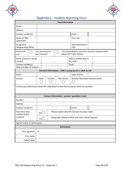



### Appendix 3 - Incident Reporting Form

<span id="page-13-0"></span>

| <b>Your information</b>                                                                                                                            |      |                                                       |                                                  |           |                                                             |  |  |
|----------------------------------------------------------------------------------------------------------------------------------------------------|------|-------------------------------------------------------|--------------------------------------------------|-----------|-------------------------------------------------------------|--|--|
| Name                                                                                                                                               |      |                                                       |                                                  |           |                                                             |  |  |
| Address                                                                                                                                            |      |                                                       |                                                  |           |                                                             |  |  |
| Contact number(s)                                                                                                                                  |      |                                                       |                                                  | Email     |                                                             |  |  |
| Name of TREC<br>Club/Event                                                                                                                         |      |                                                       |                                                  | Your role |                                                             |  |  |
| Designated<br>Safeguarding Officer                                                                                                                 |      |                                                       | Date Reported to<br><b>DSO</b>                   |           |                                                             |  |  |
| Please tick<br>I am responding to concerns raised by someone else -<br>I am reporting my<br>please fill in their details:<br>one:<br>own concerns. |      |                                                       |                                                  |           |                                                             |  |  |
| Name of person raising<br>concern                                                                                                                  |      |                                                       | Role or relationship to<br>the child             |           |                                                             |  |  |
| Contact number(s)                                                                                                                                  |      |                                                       |                                                  | Email     |                                                             |  |  |
| Date and time of incident                                                                                                                          |      |                                                       |                                                  |           | Personal information - child / young person / adult at risk |  |  |
| Name                                                                                                                                               |      |                                                       |                                                  |           | Date of birth                                               |  |  |
| Gender                                                                                                                                             | Male | Female                                                |                                                  |           |                                                             |  |  |
|                                                                                                                                                    |      |                                                       | Non-binary<br>Another description (please state) |           |                                                             |  |  |
| Is there any information about the child/Adult at Risk that would be useful to consider?                                                           |      |                                                       |                                                  |           |                                                             |  |  |
|                                                                                                                                                    |      |                                                       | Contact information - parent / guardian / carer  |           |                                                             |  |  |
| Name(s)                                                                                                                                            |      |                                                       |                                                  |           |                                                             |  |  |
| Address                                                                                                                                            |      |                                                       |                                                  |           |                                                             |  |  |
| Contact number(s)                                                                                                                                  |      |                                                       |                                                  | Email     |                                                             |  |  |
| Have they been<br>notified of this                                                                                                                 | No   | Please explain why this decision has been taken       |                                                  |           |                                                             |  |  |
| incident?                                                                                                                                          | Yes  | Please give details of what was said / actions agreed |                                                  |           |                                                             |  |  |
| Agreed action or advice given                                                                                                                      |      |                                                       |                                                  |           |                                                             |  |  |
| <b>Declaration</b>                                                                                                                                 |      |                                                       |                                                  |           |                                                             |  |  |
| Your signature<br>×                                                                                                                                |      |                                                       |                                                  |           |                                                             |  |  |
| Print name                                                                                                                                         |      |                                                       |                                                  |           |                                                             |  |  |
| Today's date                                                                                                                                       |      |                                                       |                                                  |           |                                                             |  |  |